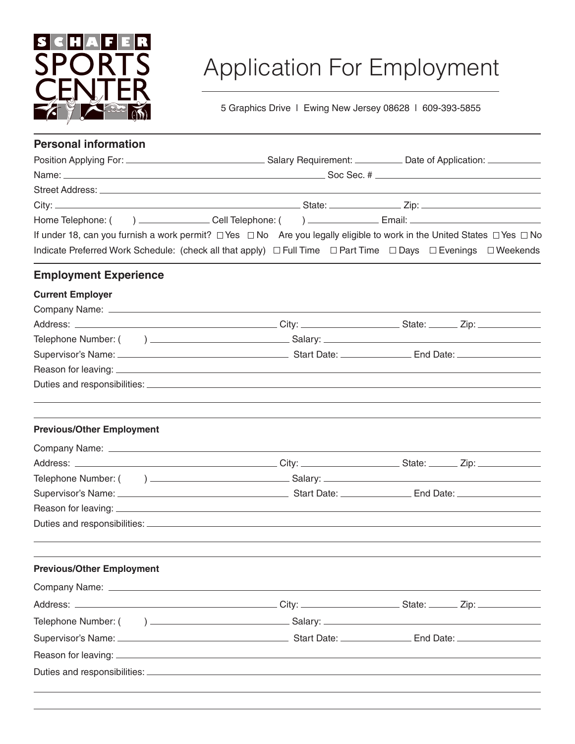

## Application For Employment

5 Graphics Drive | Ewing New Jersey 08628 | 609-393-5855

| <b>Personal information</b>      |                                                                                                                                                                                                                                                              |  |
|----------------------------------|--------------------------------------------------------------------------------------------------------------------------------------------------------------------------------------------------------------------------------------------------------------|--|
|                                  |                                                                                                                                                                                                                                                              |  |
|                                  |                                                                                                                                                                                                                                                              |  |
|                                  |                                                                                                                                                                                                                                                              |  |
|                                  |                                                                                                                                                                                                                                                              |  |
|                                  |                                                                                                                                                                                                                                                              |  |
|                                  | If under 18, can you furnish a work permit? $\Box$ Yes $\Box$ No Are you legally eligible to work in the United States $\Box$ Yes $\Box$ No<br>Indicate Preferred Work Schedule: (check all that apply) □ Full Time □ Part Time □ Days □ Evenings □ Weekends |  |
| <b>Employment Experience</b>     |                                                                                                                                                                                                                                                              |  |
| <b>Current Employer</b>          |                                                                                                                                                                                                                                                              |  |
|                                  |                                                                                                                                                                                                                                                              |  |
|                                  |                                                                                                                                                                                                                                                              |  |
|                                  |                                                                                                                                                                                                                                                              |  |
|                                  |                                                                                                                                                                                                                                                              |  |
|                                  |                                                                                                                                                                                                                                                              |  |
|                                  |                                                                                                                                                                                                                                                              |  |
| <b>Previous/Other Employment</b> |                                                                                                                                                                                                                                                              |  |
|                                  |                                                                                                                                                                                                                                                              |  |
|                                  |                                                                                                                                                                                                                                                              |  |
|                                  |                                                                                                                                                                                                                                                              |  |
|                                  |                                                                                                                                                                                                                                                              |  |
|                                  |                                                                                                                                                                                                                                                              |  |
|                                  |                                                                                                                                                                                                                                                              |  |
| <b>Previous/Other Employment</b> |                                                                                                                                                                                                                                                              |  |
|                                  |                                                                                                                                                                                                                                                              |  |
|                                  |                                                                                                                                                                                                                                                              |  |
|                                  |                                                                                                                                                                                                                                                              |  |
|                                  |                                                                                                                                                                                                                                                              |  |
|                                  |                                                                                                                                                                                                                                                              |  |
|                                  |                                                                                                                                                                                                                                                              |  |
|                                  |                                                                                                                                                                                                                                                              |  |